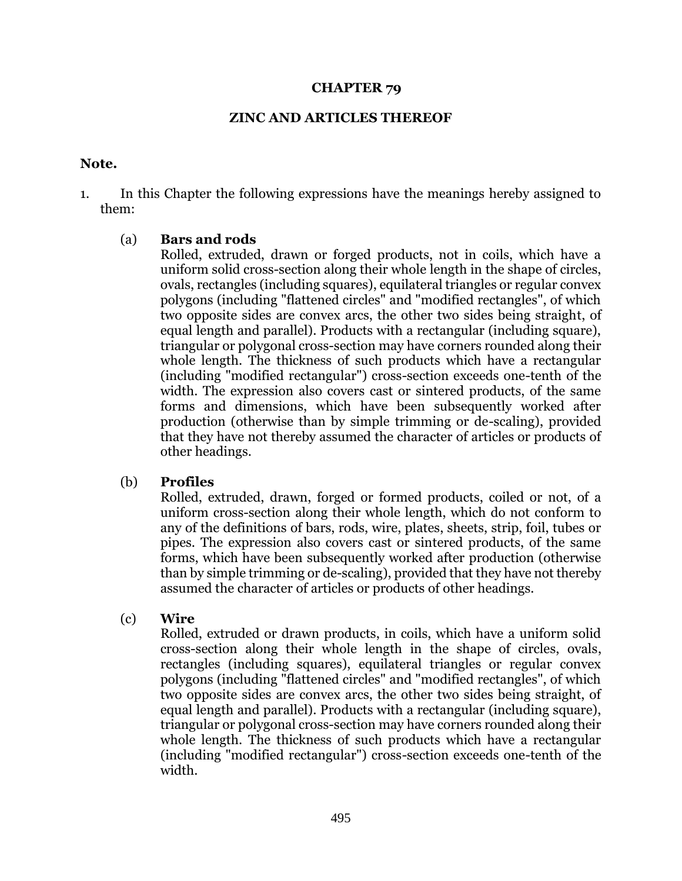#### **CHAPTER 79**

#### **ZINC AND ARTICLES THEREOF**

#### **Note.**

1. In this Chapter the following expressions have the meanings hereby assigned to them:

### (a) **Bars and rods**

Rolled, extruded, drawn or forged products, not in coils, which have a uniform solid cross-section along their whole length in the shape of circles, ovals, rectangles (including squares), equilateral triangles or regular convex polygons (including "flattened circles" and "modified rectangles", of which two opposite sides are convex arcs, the other two sides being straight, of equal length and parallel). Products with a rectangular (including square), triangular or polygonal cross-section may have corners rounded along their whole length. The thickness of such products which have a rectangular (including "modified rectangular") cross-section exceeds one-tenth of the width. The expression also covers cast or sintered products, of the same forms and dimensions, which have been subsequently worked after production (otherwise than by simple trimming or de-scaling), provided that they have not thereby assumed the character of articles or products of other headings.

### (b) **Profiles**

Rolled, extruded, drawn, forged or formed products, coiled or not, of a uniform cross-section along their whole length, which do not conform to any of the definitions of bars, rods, wire, plates, sheets, strip, foil, tubes or pipes. The expression also covers cast or sintered products, of the same forms, which have been subsequently worked after production (otherwise than by simple trimming or de-scaling), provided that they have not thereby assumed the character of articles or products of other headings.

### (c) **Wire**

Rolled, extruded or drawn products, in coils, which have a uniform solid cross-section along their whole length in the shape of circles, ovals, rectangles (including squares), equilateral triangles or regular convex polygons (including "flattened circles" and "modified rectangles", of which two opposite sides are convex arcs, the other two sides being straight, of equal length and parallel). Products with a rectangular (including square), triangular or polygonal cross-section may have corners rounded along their whole length. The thickness of such products which have a rectangular (including "modified rectangular") cross-section exceeds one-tenth of the width.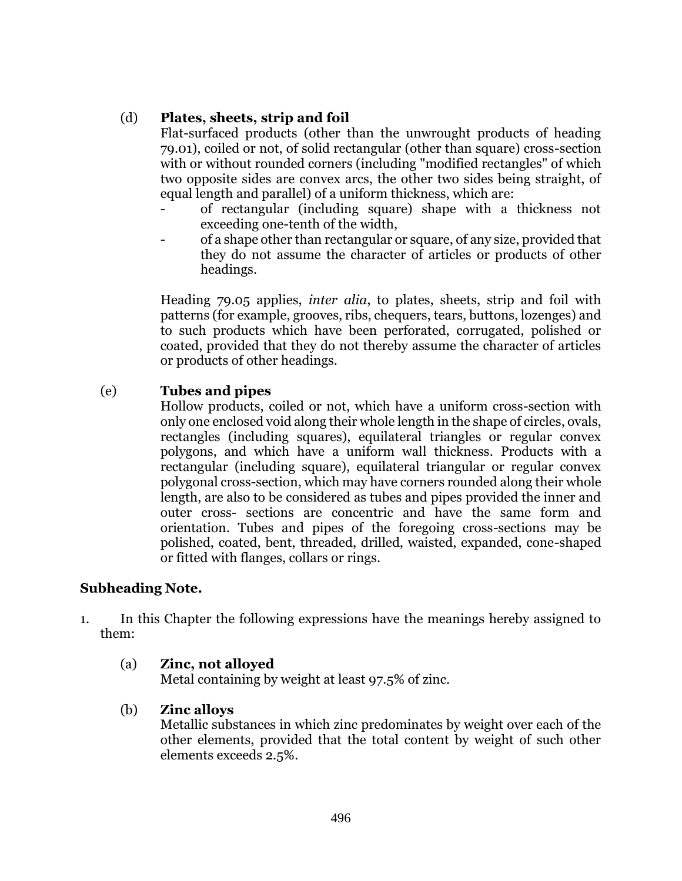## (d) **Plates, sheets, strip and foil**

Flat-surfaced products (other than the unwrought products of heading 79.01), coiled or not, of solid rectangular (other than square) cross-section with or without rounded corners (including "modified rectangles" of which two opposite sides are convex arcs, the other two sides being straight, of equal length and parallel) of a uniform thickness, which are:

- of rectangular (including square) shape with a thickness not exceeding one-tenth of the width,
- of a shape other than rectangular or square, of any size, provided that they do not assume the character of articles or products of other headings.

Heading 79.05 applies, *inter alia*, to plates, sheets, strip and foil with patterns (for example, grooves, ribs, chequers, tears, buttons, lozenges) and to such products which have been perforated, corrugated, polished or coated, provided that they do not thereby assume the character of articles or products of other headings.

## (e) **Tubes and pipes**

Hollow products, coiled or not, which have a uniform cross-section with only one enclosed void along their whole length in the shape of circles, ovals, rectangles (including squares), equilateral triangles or regular convex polygons, and which have a uniform wall thickness. Products with a rectangular (including square), equilateral triangular or regular convex polygonal cross-section, which may have corners rounded along their whole length, are also to be considered as tubes and pipes provided the inner and outer cross- sections are concentric and have the same form and orientation. Tubes and pipes of the foregoing cross-sections may be polished, coated, bent, threaded, drilled, waisted, expanded, cone-shaped or fitted with flanges, collars or rings.

# **Subheading Note.**

1. In this Chapter the following expressions have the meanings hereby assigned to them:

## (a) **Zinc, not alloyed**

Metal containing by weight at least 97.5% of zinc.

## (b) **Zinc alloys**

Metallic substances in which zinc predominates by weight over each of the other elements, provided that the total content by weight of such other elements exceeds 2.5%.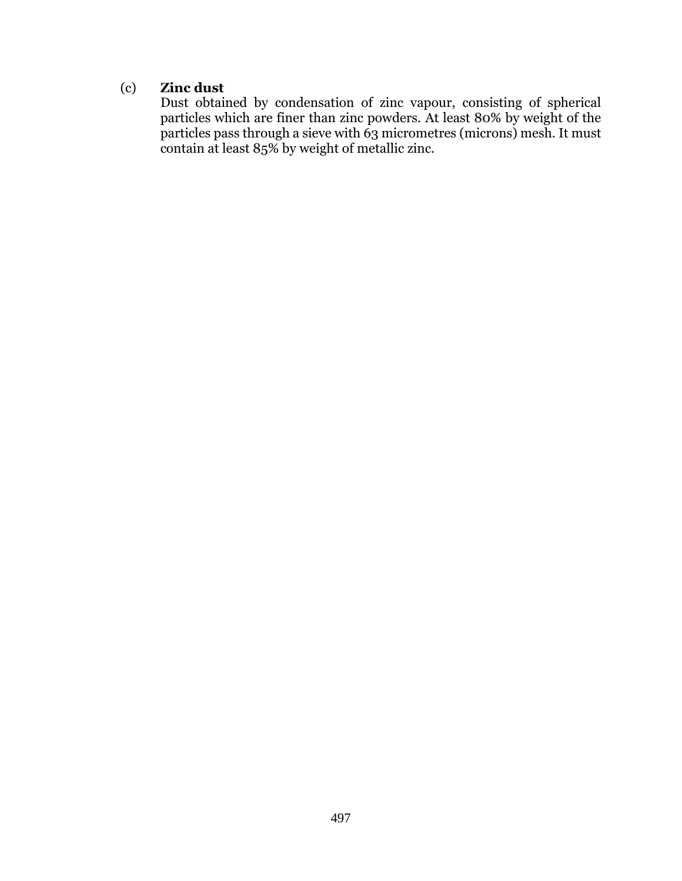# (c) **Zinc dust**

Dust obtained by condensation of zinc vapour, consisting of spherical particles which are finer than zinc powders. At least 80% by weight of the particles pass through a sieve with 63 micrometres (microns) mesh. It must contain at least 85% by weight of metallic zinc.